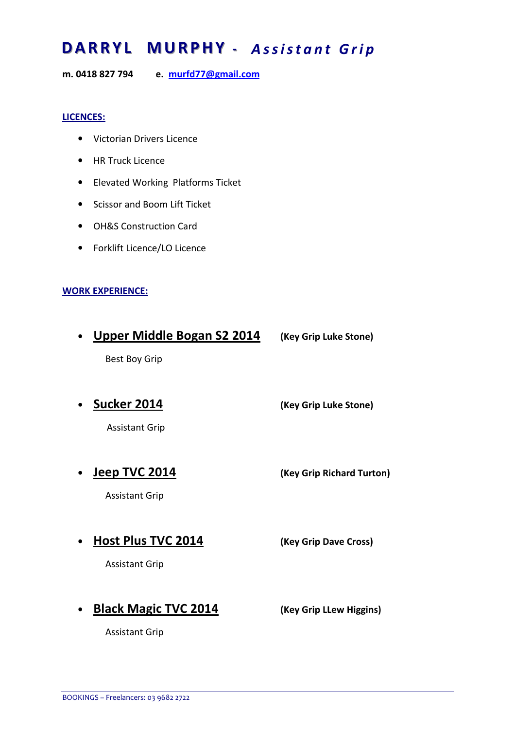## DARRYL MURPHY - Assistant Grip

m. 0418 827 794 e. murfd77@gmail.com

## LICENCES:

- Victorian Drivers Licence
- HR Truck Licence
- Elevated Working Platforms Ticket
- Scissor and Boom Lift Ticket
- OH&S Construction Card
- Forklift Licence/LO Licence

## WORK EXPERIENCE:

- Upper Middle Bogan S2 2014 (Key Grip Luke Stone) Best Boy Grip
- Sucker 2014 (Key Grip Luke Stone)

Assistant Grip

• Jeep TVC 2014 (Key Grip Richard Turton)

Assistant Grip

• Host Plus TVC 2014 (Key Grip Dave Cross)

Assistant Grip

• Black Magic TVC 2014 (Key Grip Llew Higgins)

Assistant Grip